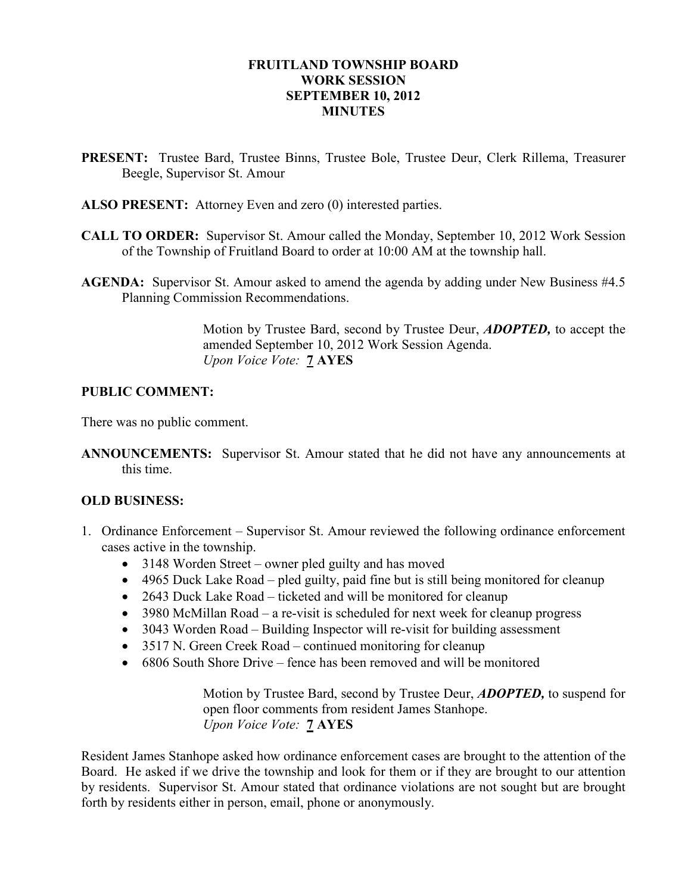#### FRUITLAND TOWNSHIP BOARD WORK SESSION SEPTEMBER 10, 2012 **MINUTES**

- PRESENT: Trustee Bard, Trustee Binns, Trustee Bole, Trustee Deur, Clerk Rillema, Treasurer Beegle, Supervisor St. Amour
- ALSO PRESENT: Attorney Even and zero (0) interested parties.
- CALL TO ORDER: Supervisor St. Amour called the Monday, September 10, 2012 Work Session of the Township of Fruitland Board to order at 10:00 AM at the township hall.
- AGENDA: Supervisor St. Amour asked to amend the agenda by adding under New Business #4.5 Planning Commission Recommendations.

Motion by Trustee Bard, second by Trustee Deur, ADOPTED, to accept the amended September 10, 2012 Work Session Agenda. Upon Voice Vote: 7 AYES

#### PUBLIC COMMENT:

There was no public comment.

ANNOUNCEMENTS: Supervisor St. Amour stated that he did not have any announcements at this time.

#### OLD BUSINESS:

- 1. Ordinance Enforcement Supervisor St. Amour reviewed the following ordinance enforcement cases active in the township.
	- 3148 Worden Street owner pled guilty and has moved
	- 4965 Duck Lake Road pled guilty, paid fine but is still being monitored for cleanup
	- 2643 Duck Lake Road ticketed and will be monitored for cleanup
	- 3980 McMillan Road a re-visit is scheduled for next week for cleanup progress
	- 3043 Worden Road Building Inspector will re-visit for building assessment
	- 3517 N. Green Creek Road continued monitoring for cleanup
	- 6806 South Shore Drive fence has been removed and will be monitored

Motion by Trustee Bard, second by Trustee Deur, **ADOPTED**, to suspend for open floor comments from resident James Stanhope. Upon Voice Vote: 7 AYES

Resident James Stanhope asked how ordinance enforcement cases are brought to the attention of the Board. He asked if we drive the township and look for them or if they are brought to our attention by residents. Supervisor St. Amour stated that ordinance violations are not sought but are brought forth by residents either in person, email, phone or anonymously.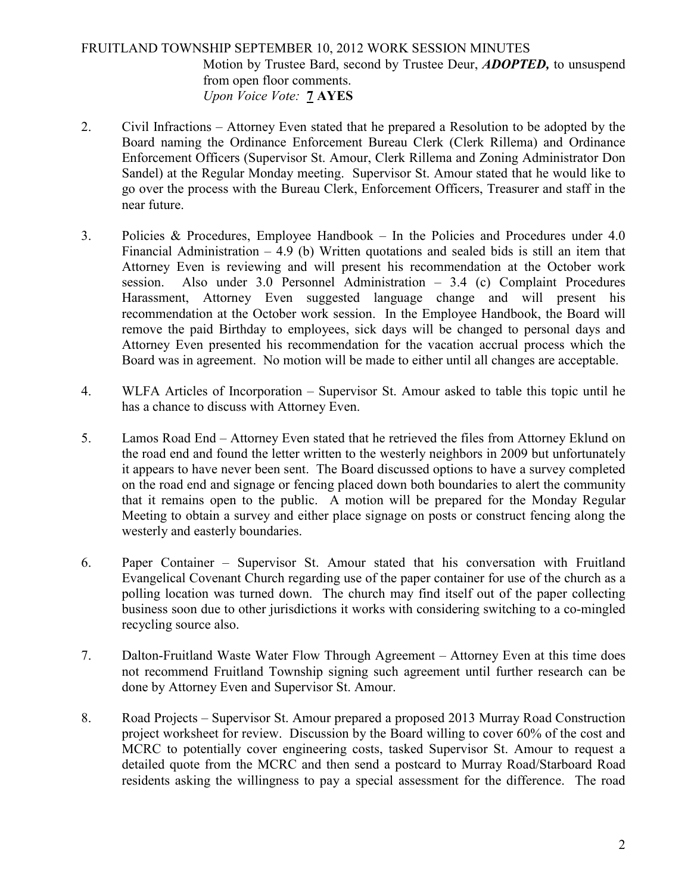# FRUITLAND TOWNSHIP SEPTEMBER 10, 2012 WORK SESSION MINUTES Motion by Trustee Bard, second by Trustee Deur, **ADOPTED**, to unsuspend from open floor comments. Upon Voice Vote: 7 AYES

- 2. Civil Infractions Attorney Even stated that he prepared a Resolution to be adopted by the Board naming the Ordinance Enforcement Bureau Clerk (Clerk Rillema) and Ordinance Enforcement Officers (Supervisor St. Amour, Clerk Rillema and Zoning Administrator Don Sandel) at the Regular Monday meeting. Supervisor St. Amour stated that he would like to go over the process with the Bureau Clerk, Enforcement Officers, Treasurer and staff in the near future.
- 3. Policies & Procedures, Employee Handbook In the Policies and Procedures under 4.0 Financial Administration  $-4.9$  (b) Written quotations and sealed bids is still an item that Attorney Even is reviewing and will present his recommendation at the October work session. Also under 3.0 Personnel Administration – 3.4 (c) Complaint Procedures Harassment, Attorney Even suggested language change and will present his recommendation at the October work session. In the Employee Handbook, the Board will remove the paid Birthday to employees, sick days will be changed to personal days and Attorney Even presented his recommendation for the vacation accrual process which the Board was in agreement. No motion will be made to either until all changes are acceptable.
- 4. WLFA Articles of Incorporation Supervisor St. Amour asked to table this topic until he has a chance to discuss with Attorney Even.
- 5. Lamos Road End Attorney Even stated that he retrieved the files from Attorney Eklund on the road end and found the letter written to the westerly neighbors in 2009 but unfortunately it appears to have never been sent. The Board discussed options to have a survey completed on the road end and signage or fencing placed down both boundaries to alert the community that it remains open to the public. A motion will be prepared for the Monday Regular Meeting to obtain a survey and either place signage on posts or construct fencing along the westerly and easterly boundaries.
- 6. Paper Container Supervisor St. Amour stated that his conversation with Fruitland Evangelical Covenant Church regarding use of the paper container for use of the church as a polling location was turned down. The church may find itself out of the paper collecting business soon due to other jurisdictions it works with considering switching to a co-mingled recycling source also.
- 7. Dalton-Fruitland Waste Water Flow Through Agreement Attorney Even at this time does not recommend Fruitland Township signing such agreement until further research can be done by Attorney Even and Supervisor St. Amour.
- 8. Road Projects Supervisor St. Amour prepared a proposed 2013 Murray Road Construction project worksheet for review. Discussion by the Board willing to cover 60% of the cost and MCRC to potentially cover engineering costs, tasked Supervisor St. Amour to request a detailed quote from the MCRC and then send a postcard to Murray Road/Starboard Road residents asking the willingness to pay a special assessment for the difference. The road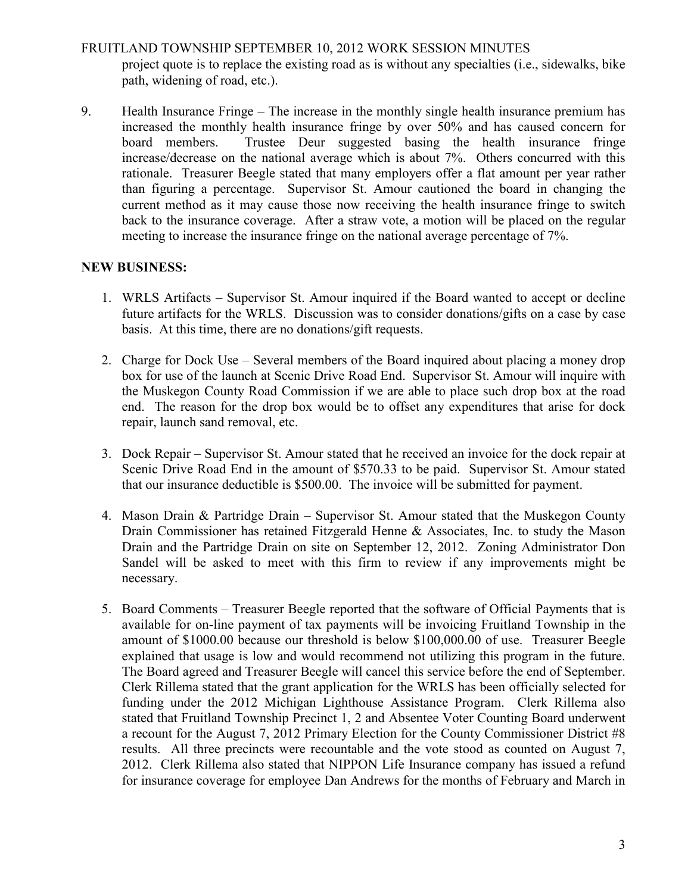### FRUITLAND TOWNSHIP SEPTEMBER 10, 2012 WORK SESSION MINUTES

project quote is to replace the existing road as is without any specialties (i.e., sidewalks, bike path, widening of road, etc.).

9. Health Insurance Fringe – The increase in the monthly single health insurance premium has increased the monthly health insurance fringe by over 50% and has caused concern for board members. Trustee Deur suggested basing the health insurance fringe increase/decrease on the national average which is about 7%. Others concurred with this rationale. Treasurer Beegle stated that many employers offer a flat amount per year rather than figuring a percentage. Supervisor St. Amour cautioned the board in changing the current method as it may cause those now receiving the health insurance fringe to switch back to the insurance coverage. After a straw vote, a motion will be placed on the regular meeting to increase the insurance fringe on the national average percentage of 7%.

#### NEW BUSINESS:

- 1. WRLS Artifacts Supervisor St. Amour inquired if the Board wanted to accept or decline future artifacts for the WRLS. Discussion was to consider donations/gifts on a case by case basis. At this time, there are no donations/gift requests.
- 2. Charge for Dock Use Several members of the Board inquired about placing a money drop box for use of the launch at Scenic Drive Road End. Supervisor St. Amour will inquire with the Muskegon County Road Commission if we are able to place such drop box at the road end. The reason for the drop box would be to offset any expenditures that arise for dock repair, launch sand removal, etc.
- 3. Dock Repair Supervisor St. Amour stated that he received an invoice for the dock repair at Scenic Drive Road End in the amount of \$570.33 to be paid. Supervisor St. Amour stated that our insurance deductible is \$500.00. The invoice will be submitted for payment.
- 4. Mason Drain & Partridge Drain Supervisor St. Amour stated that the Muskegon County Drain Commissioner has retained Fitzgerald Henne & Associates, Inc. to study the Mason Drain and the Partridge Drain on site on September 12, 2012. Zoning Administrator Don Sandel will be asked to meet with this firm to review if any improvements might be necessary.
- 5. Board Comments Treasurer Beegle reported that the software of Official Payments that is available for on-line payment of tax payments will be invoicing Fruitland Township in the amount of \$1000.00 because our threshold is below \$100,000.00 of use. Treasurer Beegle explained that usage is low and would recommend not utilizing this program in the future. The Board agreed and Treasurer Beegle will cancel this service before the end of September. Clerk Rillema stated that the grant application for the WRLS has been officially selected for funding under the 2012 Michigan Lighthouse Assistance Program. Clerk Rillema also stated that Fruitland Township Precinct 1, 2 and Absentee Voter Counting Board underwent a recount for the August 7, 2012 Primary Election for the County Commissioner District #8 results. All three precincts were recountable and the vote stood as counted on August 7, 2012. Clerk Rillema also stated that NIPPON Life Insurance company has issued a refund for insurance coverage for employee Dan Andrews for the months of February and March in